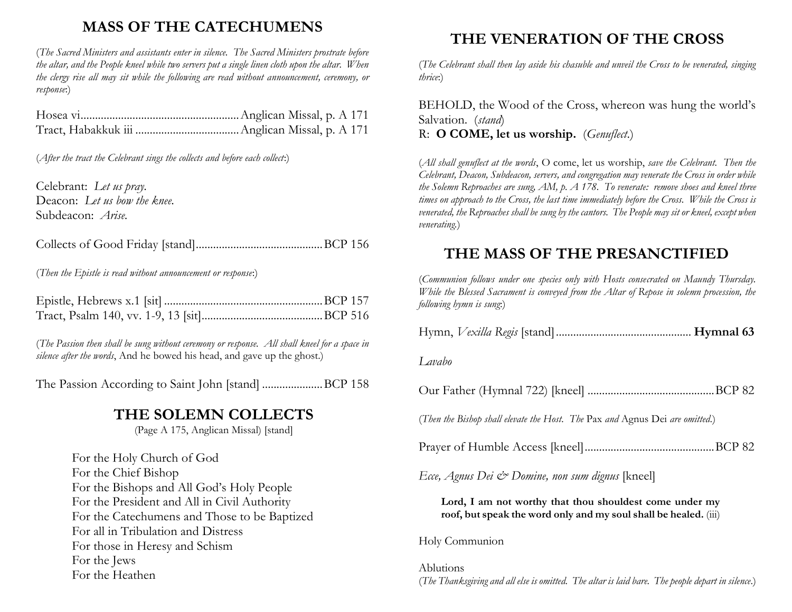## **MASS OF THE CATECHUMENS**

(*The Sacred Ministers and assistants enter in silence. The Sacred Ministers prostrate before the altar, and the People kneel while two servers put a single linen cloth upon the altar. When the clergy rise all may sit while the following are read without announcement, ceremony, or response*:)

(*After the tract the Celebrant sings the collects and before each collect*:)

Celebrant: *Let us pray.* Deacon: *Let us bow the knee.* Subdeacon: *Arise.*

Collects of Good Friday [stand]............................................BCP 156

(*Then the Epistle is read without announcement or response*:)

(*The Passion then shall be sung without ceremony or response. All shall kneel for a space in silence after the words*, And he bowed his head, and gave up the ghost.)

The Passion According to Saint John [stand] .....................BCP 158

#### **THE SOLEMN COLLECTS**

(Page A 175, Anglican Missal) [stand]

For the Holy Church of God For the Chief Bishop For the Bishops and All God's Holy People For the President and All in Civil Authority For the Catechumens and Those to be Baptized For all in Tribulation and Distress For those in Heresy and Schism For the Jews For the Heathen

## **THE VENERATION OF THE CROSS**

(*The Celebrant shall then lay aside his chasuble and unveil the Cross to be venerated, singing thrice*:)

BEHOLD, the Wood of the Cross, whereon was hung the world's Salvation. (*stand*) R: **O COME, let us worship.** (*Genuflect*.)

(*All shall genuflect at the words*, O come, let us worship, *save the Celebrant. Then the Celebrant, Deacon, Subdeacon, servers, and congregation may venerate the Cross in order while the Solemn Reproaches are sung, AM, p. A 178. To venerate: remove shoes and kneel three times on approach to the Cross, the last time immediately before the Cross. While the Cross is venerated, the Reproaches shall be sung by the cantors. The People may sit or kneel, except when venerating.*)

### **THE MASS OF THE PRESANCTIFIED**

(*Communion follows under one species only with Hosts consecrated on Maundy Thursday. While the Blessed Sacrament is conveyed from the Altar of Repose in solemn procession, the following hymn is sung*:)

| Lavabo                                                                                                                      |
|-----------------------------------------------------------------------------------------------------------------------------|
|                                                                                                                             |
| (Then the Bishop shall elevate the Host. The Pax and Agnus Dei are omitted.)                                                |
|                                                                                                                             |
| Ecce, Agnus Dei & Domine, non sum dignus [kneel]                                                                            |
| Lord, I am not worthy that thou shouldest come under my<br>roof, but speak the word only and my soul shall be healed. (iii) |
|                                                                                                                             |

#### Holy Communion

Ablutions (*The Thanksgiving and all else is omitted. The altar is laid bare. The people depart in silence*.)